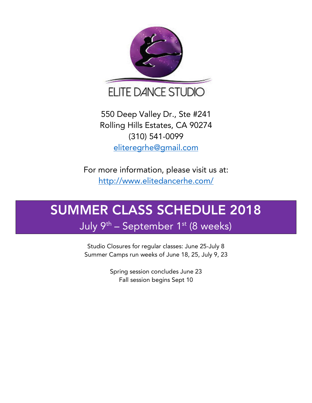

550 Deep Valley Dr., Ste #241 Rolling Hills Estates, CA 90274 (310) 541-0099 eliteregrhe@gmail.com

For more information, please visit us at: http://www.elitedancerhe.com/

# SUMMER CLASS SCHEDULE 2018

July 9<sup>th</sup> – September 1<sup>st</sup> (8 weeks)

Studio Closures for regular classes: June 25-July 8 Summer Camps run weeks of June 18, 25, July 9, 23

> Spring session concludes June 23 Fall session begins Sept 10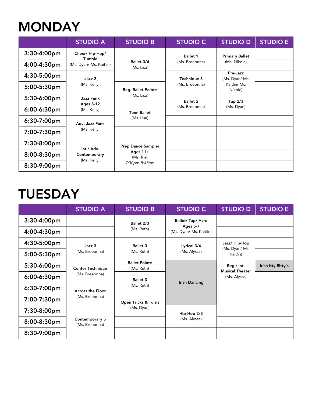### **MONDAY**

|             | <b>STUDIO A</b>                                                               | <b>STUDIO B</b>                                                       | <b>STUDIO C</b>                   | <b>STUDIO D</b>                                       | <b>STUDIO E</b> |
|-------------|-------------------------------------------------------------------------------|-----------------------------------------------------------------------|-----------------------------------|-------------------------------------------------------|-----------------|
| 3:30-4:00pm | Cheer/Hip-Hop/                                                                |                                                                       | <b>Ballet 1</b><br>(Ms. Breeonna) | <b>Primary Ballet</b><br>(Ms. Nikole)                 |                 |
| 4:00-4:30pm | Tumble<br>(Ms. Dyan/ Ms. Kaitlin)                                             | Ballet 3/4<br>(Ms. Lisa)                                              |                                   |                                                       |                 |
| 4:30-5:00pm | Jazz 2<br>(Ms. Kelly)                                                         |                                                                       | Technique 3<br>(Ms. Breeonna)     | Pre-Jazz<br>(Ms. Dyan/ Ms.<br>Kaitlin/ Ms.<br>Nikole) |                 |
| 5:00-5:30pm |                                                                               | <b>Beg. Ballet Pointe</b><br>(Ms. Lisa)                               |                                   |                                                       |                 |
| 5:30-6:00pm | Jazz Funk<br><b>Ages 8-12</b><br>(Ms. Kelly)<br>Adv. Jazz Funk<br>(Ms. Kelly) |                                                                       | <b>Ballet 2</b><br>(Ms. Breeonna) | Tap $2/3$<br>(Ms. Dyan)                               |                 |
| 6:00-6:30pm |                                                                               | <b>Teen Ballet</b><br>(Ms. Lisa)                                      |                                   |                                                       |                 |
| 6:30-7:00pm |                                                                               |                                                                       |                                   |                                                       |                 |
| 7:00-7:30pm |                                                                               |                                                                       |                                   |                                                       |                 |
| 7:30-8:00pm | Int./ Adv.<br>Contemporary<br>(Ms. Kelly)                                     | <b>Prep Dance Sampler</b><br>Ages $11+$<br>(Ms. Rie)<br>7:30pm-8:45pm |                                   |                                                       |                 |
| 8:00-8:30pm |                                                                               |                                                                       |                                   |                                                       |                 |
| 8:30-9:00pm |                                                                               |                                                                       |                                   |                                                       |                 |

### **TUESDAY**

|             | <b>STUDIO A</b>                           | <b>STUDIO B</b>                    | <b>STUDIO C</b>                                        | <b>STUDIO D</b>                                      | <b>STUDIO E</b>    |
|-------------|-------------------------------------------|------------------------------------|--------------------------------------------------------|------------------------------------------------------|--------------------|
| 3:30-4:00pm |                                           | Ballet 2/3<br>(Ms. Ruth)           | Ballet/Tap/Acro<br>Ages 5-7<br>(Ms. Dyan/ Ms. Kaitlin) |                                                      |                    |
| 4:00-4:30pm |                                           |                                    |                                                        |                                                      |                    |
| 4:30-5:00pm | Jazz 3                                    | <b>Ballet 3</b>                    | Lyrical 3/4<br>(Ms. Alyssa)                            | Jazz/ Hip-Hop<br>(Ms. Dyan/ Ms.<br>Kaitlin)          |                    |
| 5:00-5:30pm | (Ms. Breeonna)                            | (Ms. Ruth)                         |                                                        |                                                      |                    |
| 5:30-6:00pm | <b>Center Technique</b><br>(Ms. Breeonna) | <b>Ballet Pointe</b><br>(Ms. Ruth) | <b>Irish Dancing</b><br>Hip-Hop 2/3<br>(Ms. Alyssa)    | Beg./ Int.<br><b>Musical Theater</b><br>(Ms. Alyssa) | Irish Itty Bitty's |
| 6:00-6:30pm |                                           | <b>Ballet 3</b><br>(Ms. Ruth)      |                                                        |                                                      |                    |
| 6:30-7:00pm | <b>Across the Floor</b><br>(Ms. Breeonna) |                                    |                                                        |                                                      |                    |
| 7:00-7:30pm |                                           | Open Tricks & Turns<br>(Ms. Dyan)  |                                                        |                                                      |                    |
| 7:30-8:00pm | Contemporary 5<br>(Ms. Breeonna)          |                                    |                                                        |                                                      |                    |
| 8:00-8:30pm |                                           |                                    |                                                        |                                                      |                    |
| 8:30-9:00pm |                                           |                                    |                                                        |                                                      |                    |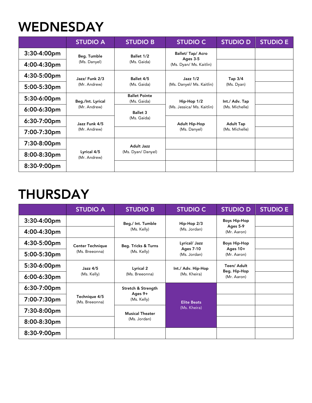### **WEDNESDAY**

|             | <b>STUDIO A</b>               | <b>STUDIO B</b>                         | <b>STUDIO C</b>                                                                   | <b>STUDIO D</b>                                                        | <b>STUDIO E</b> |
|-------------|-------------------------------|-----------------------------------------|-----------------------------------------------------------------------------------|------------------------------------------------------------------------|-----------------|
| 3:30-4:00pm | Beg. Tumble                   | Ballet 1/2<br>(Ms. Gaida)               | Ballet/ Tap/ Acro                                                                 |                                                                        |                 |
| 4:00-4:30pm | (Ms. Danyel)                  |                                         | Ages 3-5<br>(Ms. Dyan/ Ms. Kaitlin)                                               |                                                                        |                 |
| 4:30-5:00pm | Jazz/ Funk 2/3                | Ballet 4/5                              | Jazz $1/2$                                                                        | Tap $3/4$<br>(Ms. Dyan)                                                |                 |
| 5:00-5:30pm | (Mr. Andrew)                  | (Ms. Gaida)                             | (Ms. Danyel/ Ms. Kaitlin)                                                         |                                                                        |                 |
| 5:30-6:00pm | Beg./Int. Lyrical             | <b>Ballet Pointe</b><br>(Ms. Gaida)     | Hip-Hop 1/2<br>(Ms. Jessica/ Ms. Kaitlin)<br><b>Adult Hip-Hop</b><br>(Ms. Danyel) | Int./ Adv. Tap<br>(Ms. Michelle)<br><b>Adult Tap</b><br>(Ms. Michelle) |                 |
| 6:00-6:30pm | (Mr. Andrew)                  | <b>Ballet 3</b><br>(Ms. Gaida)          |                                                                                   |                                                                        |                 |
| 6:30-7:00pm | Jazz Funk 4/5<br>(Mr. Andrew) |                                         |                                                                                   |                                                                        |                 |
| 7:00-7:30pm |                               |                                         |                                                                                   |                                                                        |                 |
| 7:30-8:00pm | Lyrical 4/5<br>(Mr. Andrew)   | <b>Adult Jazz</b><br>(Ms. Dyan/ Danyel) |                                                                                   |                                                                        |                 |
| 8:00-8:30pm |                               |                                         |                                                                                   |                                                                        |                 |
| 8:30-9:00pm |                               |                                         |                                                                                   |                                                                        |                 |

# **THURSDAY**

|             | <b>STUDIO A</b>                 | <b>STUDIO B</b>                                | <b>STUDIO C</b>                    | <b>STUDIO D</b>                                | <b>STUDIO E</b> |
|-------------|---------------------------------|------------------------------------------------|------------------------------------|------------------------------------------------|-----------------|
| 3:30-4:00pm |                                 | Beg./ Int. Tumble                              | Hip-Hop 2/3                        | <b>Boys Hip-Hop</b><br>Ages 5-9<br>(Mr. Aaron) |                 |
| 4:00-4:30pm |                                 | (Ms. Kelly)                                    | (Ms. Jordan)                       |                                                |                 |
| 4:30-5:00pm | <b>Center Technique</b>         | Beg. Tricks & Turns                            | Lyrical/ Jazz                      | <b>Boys Hip-Hop</b>                            |                 |
| 5:00-5:30pm | (Ms. Breeonna)                  | (Ms. Kelly)                                    | <b>Ages 7-10</b><br>(Ms. Jordan)   | Ages 10+<br>(Mr. Aaron)                        |                 |
| 5:30-6:00pm | Jazz 4/5<br>(Ms. Kelly)         | Lyrical 2<br>(Ms. Breeonna)                    | Int./ Adv. Hip-Hop<br>(Ms. Kheira) | Teen/ Adult<br>Beg. Hip-Hop<br>(Mr. Aaron)     |                 |
| 6:00-6:30pm |                                 |                                                |                                    |                                                |                 |
| 6:30-7:00pm |                                 | Stretch & Strength<br>Ages $9+$<br>(Ms. Kelly) | <b>Elite Beats</b><br>(Ms. Kheira) |                                                |                 |
| 7:00-7:30pm | Technique 4/5<br>(Ms. Breeonna) |                                                |                                    |                                                |                 |
| 7:30-8:00pm |                                 | <b>Musical Theater</b><br>(Ms. Jordan)         |                                    |                                                |                 |
| 8:00-8:30pm |                                 |                                                |                                    |                                                |                 |
| 8:30-9:00pm |                                 |                                                |                                    |                                                |                 |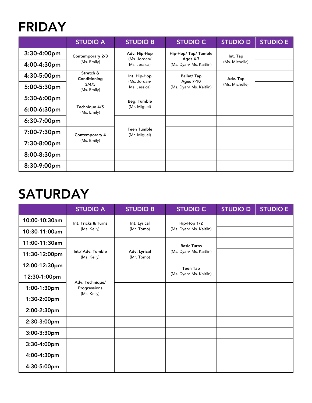#### FRIDAY

|             | <b>STUDIO A</b>                                               | <b>STUDIO B</b>                              | <b>STUDIO C</b>                       | <b>STUDIO D</b>            | <b>STUDIO E</b> |
|-------------|---------------------------------------------------------------|----------------------------------------------|---------------------------------------|----------------------------|-----------------|
| 3:30-4:00pm | Contemporary 2/3                                              | Adv. Hip-Hop<br>(Ms. Jordan/<br>Ms. Jessica) | Hip-Hop/ Tap/ Tumble                  | Int. Tap<br>(Ms. Michelle) |                 |
| 4:00-4:30pm | (Ms. Emily)                                                   |                                              | Ages 4-7<br>(Ms. Dyan/ Ms. Kaitlin)   |                            |                 |
| 4:30-5:00pm | Stretch &<br>Conditioning                                     | Int. Hip-Hop                                 | <b>Ballet/Tap</b><br><b>Ages 7-10</b> | Adv. Tap<br>(Ms. Michelle) |                 |
| 5:00-5:30pm | 3/4/5<br>(Ms. Emily)                                          | (Ms. Jordan/<br>Ms. Jessica)                 | (Ms. Dyan/ Ms. Kaitlin)               |                            |                 |
| 5:30-6:00pm | Technique 4/5<br>(Ms. Emily)<br>Contemporary 4<br>(Ms. Emily) | Beg. Tumble<br>(Mr. Miguel)                  |                                       |                            |                 |
| 6:00-6:30pm |                                                               |                                              |                                       |                            |                 |
| 6:30-7:00pm |                                                               |                                              |                                       |                            |                 |
| 7:00-7:30pm |                                                               | Teen Tumble<br>(Mr. Miguel)                  |                                       |                            |                 |
| 7:30-8:00pm |                                                               |                                              |                                       |                            |                 |
| 8:00-8:30pm |                                                               |                                              |                                       |                            |                 |
| 8:30-9:00pm |                                                               |                                              |                                       |                            |                 |

# **SATURDAY**

|                | <b>STUDIO A</b>                                | <b>STUDIO B</b>            | <b>STUDIO C</b>         | <b>STUDIO D</b> | <b>STUDIO E</b> |
|----------------|------------------------------------------------|----------------------------|-------------------------|-----------------|-----------------|
| 10:00-10:30am  | Int. Tricks & Turns                            | Int. Lyrical<br>(Mr. Tomo) | Hip-Hop 1/2             |                 |                 |
| 10:30-11:00am  | (Ms. Kelly)                                    |                            | (Ms. Dyan/ Ms. Kaitlin) |                 |                 |
| 11:00-11:30am  |                                                |                            | <b>Basic Turns</b>      |                 |                 |
| 11:30-12:00pm  | Int./ Adv. Tumble<br>(Ms. Kelly)               | Adv. Lyrical<br>(Mr. Tomo) | (Ms. Dyan/ Ms. Kaitlin) |                 |                 |
| 12:00-12:30pm  |                                                |                            | <b>Teen Tap</b>         |                 |                 |
| 12:30-1:00pm   | Adv. Technique/<br>Progressions<br>(Ms. Kelly) |                            | (Ms. Dyan/ Ms. Kaitlin) |                 |                 |
| 1:00-1:30pm    |                                                |                            |                         |                 |                 |
| 1:30-2:00pm    |                                                |                            |                         |                 |                 |
| 2:00-2:30pm    |                                                |                            |                         |                 |                 |
| 2:30-3:00pm    |                                                |                            |                         |                 |                 |
| $3:00-3:30$ pm |                                                |                            |                         |                 |                 |
| 3:30-4:00pm    |                                                |                            |                         |                 |                 |
| 4:00-4:30pm    |                                                |                            |                         |                 |                 |
| 4:30-5:00pm    |                                                |                            |                         |                 |                 |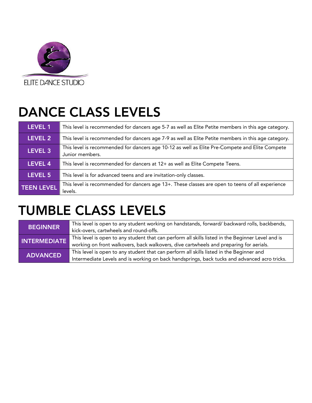

# DANCE CLASS LEVELS

| LEVEL 1           | This level is recommended for dancers age 5-7 as well as Elite Petite members in this age category.               |
|-------------------|-------------------------------------------------------------------------------------------------------------------|
| LEVEL 2           | This level is recommended for dancers age 7-9 as well as Elite Petite members in this age category.               |
| LEVEL 3           | This level is recommended for dancers age 10-12 as well as Elite Pre-Compete and Elite Compete<br>Junior members. |
| <b>LEVEL 4</b>    | This level is recommended for dancers at 12+ as well as Elite Compete Teens.                                      |
| LEVEL 5           | This level is for advanced teens and are invitation-only classes.                                                 |
| <b>TEEN LEVEL</b> | This level is recommended for dancers age 13+. These classes are open to teens of all experience<br>levels.       |

# TUMBLE CLASS LEVELS

| <b>BEGINNER</b>     | This level is open to any student working on handstands, forward/ backward rolls, backbends,      |
|---------------------|---------------------------------------------------------------------------------------------------|
|                     | kick-overs, cartwheels and round-offs.                                                            |
| <b>INTERMEDIATE</b> | This level is open to any student that can perform all skills listed in the Beginner Level and is |
|                     | working on front walkovers, back walkovers, dive cartwheels and preparing for aerials.            |
| <b>ADVANCED</b>     | This level is open to any student that can perform all skills listed in the Beginner and          |
|                     | Intermediate Levels and is working on back handsprings, back tucks and advanced acro tricks.      |